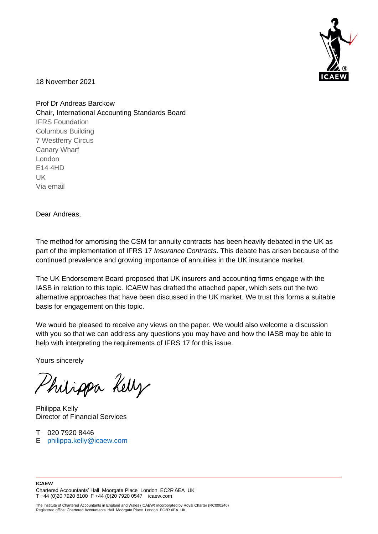

18 November 2021

Prof Dr Andreas Barckow Chair, International Accounting Standards Board IFRS Foundation Columbus Building 7 Westferry Circus Canary Wharf London E14 4HD UK Via email

Dear Andreas,

The method for amortising the CSM for annuity contracts has been heavily debated in the UK as part of the implementation of IFRS 17 *Insurance Contracts*. This debate has arisen because of the continued prevalence and growing importance of annuities in the UK insurance market.

The UK Endorsement Board proposed that UK insurers and accounting firms engage with the IASB in relation to this topic. ICAEW has drafted the attached paper, which sets out the two alternative approaches that have been discussed in the UK market. We trust this forms a suitable basis for engagement on this topic.

We would be pleased to receive any views on the paper. We would also welcome a discussion with you so that we can address any questions you may have and how the IASB may be able to help with interpreting the requirements of IFRS 17 for this issue.

Yours sincerely

Philippa Kelly

Philippa Kelly Director of Financial Services

T 020 7920 8446 E [philippa.kelly@icaew.com](mailto:philippa.kelly@icaew.com)

#### **ICAEW**  Chartered Accountants' Hall Moorgate Place London EC2R 6EA UK T +44 (0)20 7920 8100 F +44 (0)20 7920 0547 icaew.com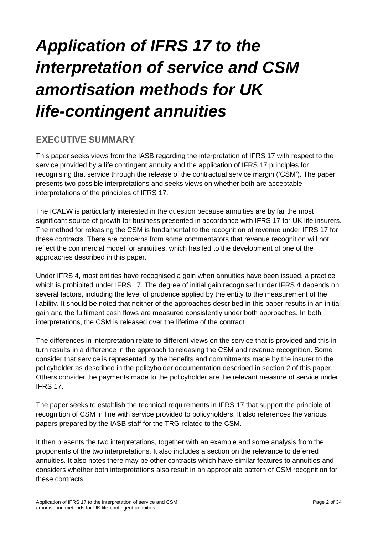# *Application of IFRS 17 to the interpretation of service and CSM amortisation methods for UK life-contingent annuities*

# **EXECUTIVE SUMMARY**

This paper seeks views from the IASB regarding the interpretation of IFRS 17 with respect to the service provided by a life contingent annuity and the application of IFRS 17 principles for recognising that service through the release of the contractual service margin ('CSM'). The paper presents two possible interpretations and seeks views on whether both are acceptable interpretations of the principles of IFRS 17.

The ICAEW is particularly interested in the question because annuities are by far the most significant source of growth for business presented in accordance with IFRS 17 for UK life insurers. The method for releasing the CSM is fundamental to the recognition of revenue under IFRS 17 for these contracts. There are concerns from some commentators that revenue recognition will not reflect the commercial model for annuities, which has led to the development of one of the approaches described in this paper.

Under IFRS 4, most entities have recognised a gain when annuities have been issued, a practice which is prohibited under IFRS 17. The degree of initial gain recognised under IFRS 4 depends on several factors, including the level of prudence applied by the entity to the measurement of the liability. It should be noted that neither of the approaches described in this paper results in an initial gain and the fulfilment cash flows are measured consistently under both approaches. In both interpretations, the CSM is released over the lifetime of the contract.

The differences in interpretation relate to different views on the service that is provided and this in turn results in a difference in the approach to releasing the CSM and revenue recognition. Some consider that service is represented by the benefits and commitments made by the insurer to the policyholder as described in the policyholder documentation described in section 2 of this paper. Others consider the payments made to the policyholder are the relevant measure of service under IFRS 17.

The paper seeks to establish the technical requirements in IFRS 17 that support the principle of recognition of CSM in line with service provided to policyholders. It also references the various papers prepared by the IASB staff for the TRG related to the CSM.

It then presents the two interpretations, together with an example and some analysis from the proponents of the two interpretations. It also includes a section on the relevance to deferred annuities. It also notes there may be other contracts which have similar features to annuities and considers whether both interpretations also result in an appropriate pattern of CSM recognition for these contracts.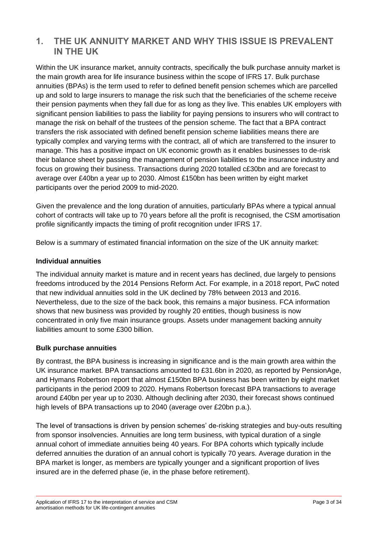# **1. THE UK ANNUITY MARKET AND WHY THIS ISSUE IS PREVALENT IN THE UK**

Within the UK insurance market, annuity contracts, specifically the bulk purchase annuity market is the main growth area for life insurance business within the scope of IFRS 17. Bulk purchase annuities (BPAs) is the term used to refer to defined benefit pension schemes which are parcelled up and sold to large insurers to manage the risk such that the beneficiaries of the scheme receive their pension payments when they fall due for as long as they live. This enables UK employers with significant pension liabilities to pass the liability for paying pensions to insurers who will contract to manage the risk on behalf of the trustees of the pension scheme. The fact that a BPA contract transfers the risk associated with defined benefit pension scheme liabilities means there are typically complex and varying terms with the contract, all of which are transferred to the insurer to manage. This has a positive impact on UK economic growth as it enables businesses to de-risk their balance sheet by passing the management of pension liabilities to the insurance industry and focus on growing their business. Transactions during 2020 totalled c£30bn and are forecast to average over £40bn a year up to 2030. Almost £150bn has been written by eight market participants over the period 2009 to mid-2020.

Given the prevalence and the long duration of annuities, particularly BPAs where a typical annual cohort of contracts will take up to 70 years before all the profit is recognised, the CSM amortisation profile significantly impacts the timing of profit recognition under IFRS 17.

Below is a summary of estimated financial information on the size of the UK annuity market:

#### **Individual annuities**

The individual annuity market is mature and in recent years has declined, due largely to pensions freedoms introduced by the 2014 Pensions Reform Act. For example, in a 2018 report, PwC noted that new individual annuities sold in the UK declined by 78% between 2013 and 2016. Nevertheless, due to the size of the back book, this remains a major business. FCA information shows that new business was provided by roughly 20 entities, though business is now concentrated in only five main insurance groups. Assets under management backing annuity liabilities amount to some £300 billion.

### **Bulk purchase annuities**

By contrast, the BPA business is increasing in significance and is the main growth area within the UK insurance market. BPA transactions amounted to £31.6bn in 2020, as reported by PensionAge, and Hymans Robertson report that almost £150bn BPA business has been written by eight market participants in the period 2009 to 2020. Hymans Robertson forecast BPA transactions to average around £40bn per year up to 2030. Although declining after 2030, their forecast shows continued high levels of BPA transactions up to 2040 (average over £20bn p.a.).

The level of transactions is driven by pension schemes' de-risking strategies and buy-outs resulting from sponsor insolvencies. Annuities are long term business, with typical duration of a single annual cohort of immediate annuities being 40 years. For BPA cohorts which typically include deferred annuities the duration of an annual cohort is typically 70 years. Average duration in the BPA market is longer, as members are typically younger and a significant proportion of lives insured are in the deferred phase (ie, in the phase before retirement).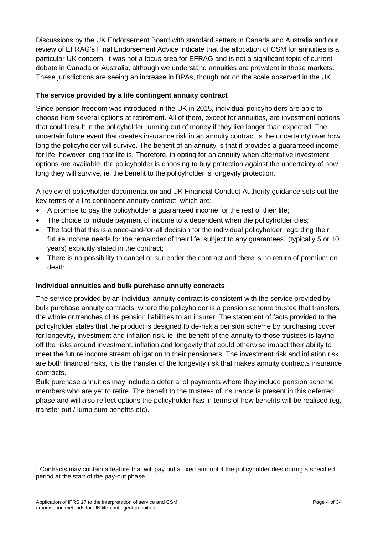Discussions by the UK Endorsement Board with standard setters in Canada and Australia and our review of EFRAG's Final Endorsement Advice indicate that the allocation of CSM for annuities is a particular UK concern. It was not a focus area for EFRAG and is not a significant topic of current debate in Canada or Australia, although we understand annuities are prevalent in those markets. These jurisdictions are seeing an increase in BPAs, though not on the scale observed in the UK.

## **The service provided by a life contingent annuity contract**

Since pension freedom was introduced in the UK in 2015, individual policyholders are able to choose from several options at retirement. All of them, except for annuities, are investment options that could result in the policyholder running out of money if they live longer than expected. The uncertain future event that creates insurance risk in an annuity contract is the uncertainty over how long the policyholder will survive. The benefit of an annuity is that it provides a guaranteed income for life, however long that life is. Therefore, in opting for an annuity when alternative investment options are available, the policyholder is choosing to buy protection against the uncertainty of how long they will survive, ie, the benefit to the policyholder is longevity protection.

A review of policyholder documentation and UK Financial Conduct Authority guidance sets out the key terms of a life contingent annuity contract, which are:

- A promise to pay the policyholder a guaranteed income for the rest of their life;
- The choice to include payment of income to a dependent when the policyholder dies;
- The fact that this is a once-and-for-all decision for the individual policyholder regarding their future income needs for the remainder of their life, subject to any guarantees<sup>1</sup> (typically 5 or 10 years) explicitly stated in the contract;
- There is no possibility to cancel or surrender the contract and there is no return of premium on death.

# **Individual annuities and bulk purchase annuity contracts**

The service provided by an individual annuity contract is consistent with the service provided by bulk purchase annuity contracts, where the policyholder is a pension scheme trustee that transfers the whole or tranches of its pension liabilities to an insurer. The statement of facts provided to the policyholder states that the product is designed to de-risk a pension scheme by purchasing cover for longevity, investment and inflation risk. ie, the benefit of the annuity to those trustees is laying off the risks around investment, inflation and longevity that could otherwise impact their ability to meet the future income stream obligation to their pensioners. The investment risk and inflation risk are both financial risks, it is the transfer of the longevity risk that makes annuity contracts insurance contracts.

Bulk purchase annuities may include a deferral of payments where they include pension scheme members who are yet to retire. The benefit to the trustees of insurance is present in this deferred phase and will also reflect options the policyholder has in terms of how benefits will be realised (eg, transfer out / lump sum benefits etc).

<sup>1</sup> Contracts may contain a feature that will pay out a fixed amount if the policyholder dies during a specified period at the start of the pay-out phase.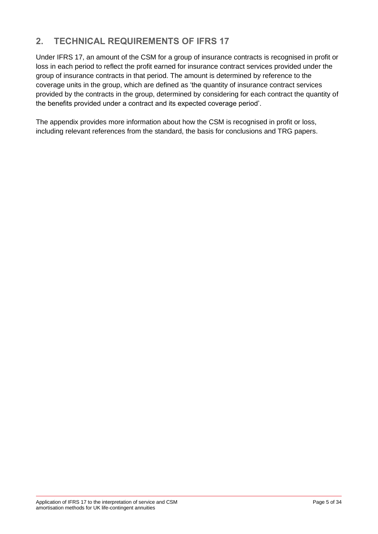# **2. TECHNICAL REQUIREMENTS OF IFRS 17**

Under IFRS 17, an amount of the CSM for a group of insurance contracts is recognised in profit or loss in each period to reflect the profit earned for insurance contract services provided under the group of insurance contracts in that period. The amount is determined by reference to the coverage units in the group, which are defined as 'the quantity of insurance contract services provided by the contracts in the group, determined by considering for each contract the quantity of the benefits provided under a contract and its expected coverage period'.

The appendix provides more information about how the CSM is recognised in profit or loss, including relevant references from the standard, the basis for conclusions and TRG papers.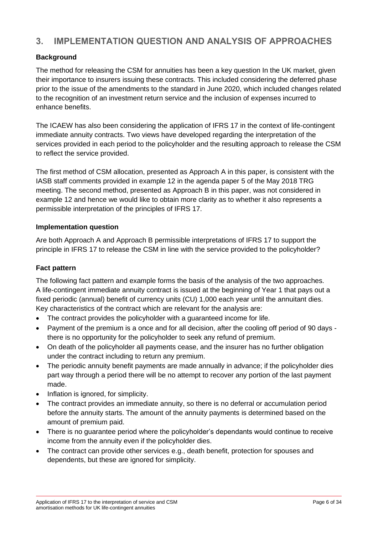# **3. IMPLEMENTATION QUESTION AND ANALYSIS OF APPROACHES**

# **Background**

The method for releasing the CSM for annuities has been a key question In the UK market, given their importance to insurers issuing these contracts. This included considering the deferred phase prior to the issue of the amendments to the standard in June 2020, which included changes related to the recognition of an investment return service and the inclusion of expenses incurred to enhance benefits.

The ICAEW has also been considering the application of IFRS 17 in the context of life-contingent immediate annuity contracts. Two views have developed regarding the interpretation of the services provided in each period to the policyholder and the resulting approach to release the CSM to reflect the service provided.

The first method of CSM allocation, presented as Approach A in this paper, is consistent with the IASB staff comments provided in example 12 in the agenda paper 5 of the May 2018 TRG meeting. The second method, presented as Approach B in this paper, was not considered in example 12 and hence we would like to obtain more clarity as to whether it also represents a permissible interpretation of the principles of IFRS 17.

#### **Implementation question**

Are both Approach A and Approach B permissible interpretations of IFRS 17 to support the principle in IFRS 17 to release the CSM in line with the service provided to the policyholder?

### **Fact pattern**

The following fact pattern and example forms the basis of the analysis of the two approaches. A life-contingent immediate annuity contract is issued at the beginning of Year 1 that pays out a fixed periodic (annual) benefit of currency units (CU) 1,000 each year until the annuitant dies. Key characteristics of the contract which are relevant for the analysis are:

- The contract provides the policyholder with a quaranteed income for life.
- Payment of the premium is a once and for all decision, after the cooling off period of 90 days there is no opportunity for the policyholder to seek any refund of premium.
- On death of the policyholder all payments cease, and the insurer has no further obligation under the contract including to return any premium.
- The periodic annuity benefit payments are made annually in advance; if the policyholder dies part way through a period there will be no attempt to recover any portion of the last payment made.
- Inflation is ignored, for simplicity.
- The contract provides an immediate annuity, so there is no deferral or accumulation period before the annuity starts. The amount of the annuity payments is determined based on the amount of premium paid.
- There is no guarantee period where the policyholder's dependants would continue to receive income from the annuity even if the policyholder dies.
- The contract can provide other services e.g., death benefit, protection for spouses and dependents, but these are ignored for simplicity.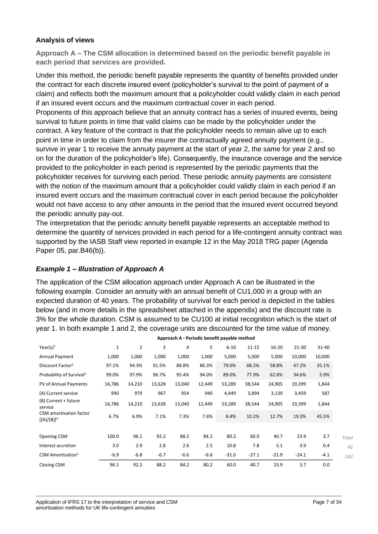#### **Analysis of views**

**Approach A – The CSM allocation is determined based on the periodic benefit payable in each period that services are provided.**

Under this method, the periodic benefit payable represents the quantity of benefits provided under the contract for each discrete insured event (policyholder's survival to the point of payment of a claim) and reflects both the maximum amount that a policyholder could validly claim in each period if an insured event occurs and the maximum contractual cover in each period.

Proponents of this approach believe that an annuity contract has a series of insured events, being survival to future points in time that valid claims can be made by the policyholder under the contract. A key feature of the contract is that the policyholder needs to remain alive up to each point in time in order to claim from the insurer the contractually agreed annuity payment (e.g., survive in year 1 to receive the annuity payment at the start of year 2, the same for year 2 and so on for the duration of the policyholder's life). Consequently, the insurance coverage and the service provided to the policyholder in each period is represented by the periodic payments that the policyholder receives for surviving each period. These periodic annuity payments are consistent with the notion of the maximum amount that a policyholder could validly claim in each period if an insured event occurs and the maximum contractual cover in each period because the policyholder would not have access to any other amounts in the period that the insured event occurred beyond the periodic annuity pay-out.

The interpretation that the periodic annuity benefit payable represents an acceptable method to determine the quantity of services provided in each period for a life-contingent annuity contract was supported by the IASB Staff view reported in example 12 in the May 2018 TRG paper (Agenda Paper 05, par.B46(b)).

#### *Example 1 – Illustration of Approach A*

The application of the CSM allocation approach under Approach A can be illustrated in the following example. Consider an annuity with an annual benefit of CU1,000 in a group with an expected duration of 40 years. The probability of survival for each period is depicted in the tables below (and in more details in the spreadsheet attached in the appendix) and the discount rate is 3% for the whole duration. CSM is assumed to be CU100 at initial recognition which is the start of year 1. In both example 1 and 2, the coverage units are discounted for the time value of money.

| Year(s) $1$                              | $\mathbf{1}$ | $\overline{2}$ | 3      | 4      | 5      | $6 - 10$ | $11 - 15$ | $16 - 20$ | $21 - 30$ | $31 - 40$ |        |
|------------------------------------------|--------------|----------------|--------|--------|--------|----------|-----------|-----------|-----------|-----------|--------|
| Annual Payment                           | 1,000        | 1,000          | 1,000  | 1,000  | 1,000  | 5,000    | 5,000     | 5,000     | 10,000    | 10,000    |        |
| Discount Factor <sup>2</sup>             | 97.1%        | 94.3%          | 91.5%  | 88.8%  | 86.3%  | 79.0%    | 68.2%     | 58.8%     | 47.2%     | 35.1%     |        |
| Probability of Survival <sup>3</sup>     | 99.0%        | 97.9%          | 96.7%  | 95.4%  | 94.0%  | 89.0%    | 77.9%     | 62.8%     | 34.6%     | 5.9%      |        |
| PV of Annual Payments                    | 14,786       | 14,210         | 13,628 | 13,040 | 12,449 | 53,289   | 38,544    | 24,905    | 19,399    | 1,844     |        |
| (A) Current service                      | 990          | 979            | 967    | 954    | 940    | 4,449    | 3,894     | 3,139     | 3,459     | 587       |        |
| (B) Current + future<br>service          | 14,786       | 14,210         | 13,628 | 13,040 | 12,449 | 53,289   | 38,544    | 24,905    | 19,399    | 1,844     |        |
| CSM amortisation factor<br>$[(A)/(B)]^4$ | 6.7%         | 6.9%           | 7.1%   | 7.3%   | 7.6%   | 8.4%     | 10.2%     | 12.7%     | 19.3%     | 45.5%     |        |
|                                          |              |                |        |        |        |          |           |           |           |           |        |
| Opening CSM                              | 100.0        | 96.1           | 92.2   | 88.2   | 84.2   | 80.2     | 60.0      | 40.7      | 23.9      | 3.7       | Total  |
| Interest accretion                       | 3.0          | 2.9            | 2.8    | 2.6    | 2.5    | 10.8     | 7.8       | 5.1       | 3.9       | 0.4       | 42     |
| CSM Amortisation <sup>5</sup>            | $-6.9$       | $-6.8$         | $-6.7$ | $-6.6$ | $-6.6$ | $-31.0$  | $-27.1$   | $-21.9$   | $-24.1$   | $-4.1$    | $-142$ |
| Closing CSM                              | 96.1         | 92.2           | 88.2   | 84.2   | 80.2   | 60.0     | 40.7      | 23.9      | 3.7       | 0.0       |        |

**Approach A - Periodic benefit payable method**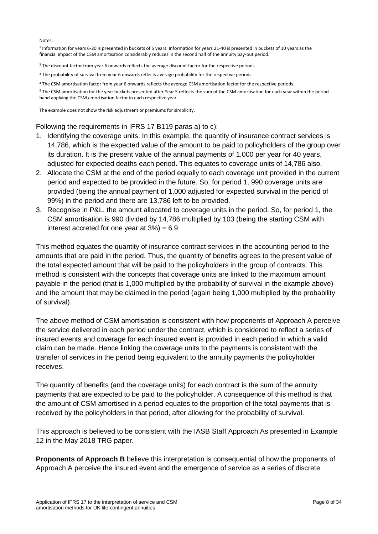Notes:

<sup>1</sup> Information for years 6-20 is presented in buckets of 5 years. Information for years 21-40 is presented in buckets of 10 years as the financial impact of the CSM amortisation considerably reduces in the second half of the annuity pay-out period.

<sup>2</sup> The discount factor from year 6 onwards reflects the average discount factor for the respective periods.

<sup>3</sup> The probability of survival from year 6 onwards reflects average probability for the respective periods.

<sup>4</sup> The CSM amortisation factor from year 6 onwards reflects the average CSM amortisation factor for the respective periods.

<sup>5</sup> The CSM amortisation for the year buckets presented after Year 5 reflects the sum of the CSM amortisation for each year within the period band applying the CSM amortisation factor in each respective year.

The example does not show the risk adjustment or premiums for simplicity.

Following the requirements in IFRS 17 B119 paras a) to c):

- 1. Identifying the coverage units. In this example, the quantity of insurance contract services is 14,786, which is the expected value of the amount to be paid to policyholders of the group over its duration. It is the present value of the annual payments of 1,000 per year for 40 years, adjusted for expected deaths each period. This equates to coverage units of 14,786 also.
- 2. Allocate the CSM at the end of the period equally to each coverage unit provided in the current period and expected to be provided in the future. So, for period 1, 990 coverage units are provided (being the annual payment of 1,000 adjusted for expected survival in the period of 99%) in the period and there are 13,786 left to be provided.
- 3. Recognise in P&L, the amount allocated to coverage units in the period. So, for period 1, the CSM amortisation is 990 divided by 14,786 multiplied by 103 (being the starting CSM with interest accreted for one year at  $3\%$  = 6.9.

This method equates the quantity of insurance contract services in the accounting period to the amounts that are paid in the period. Thus, the quantity of benefits agrees to the present value of the total expected amount that will be paid to the policyholders in the group of contracts. This method is consistent with the concepts that coverage units are linked to the maximum amount payable in the period (that is 1,000 multiplied by the probability of survival in the example above) and the amount that may be claimed in the period (again being 1,000 multiplied by the probability of survival).

The above method of CSM amortisation is consistent with how proponents of Approach A perceive the service delivered in each period under the contract, which is considered to reflect a series of insured events and coverage for each insured event is provided in each period in which a valid claim can be made. Hence linking the coverage units to the payments is consistent with the transfer of services in the period being equivalent to the annuity payments the policyholder receives.

The quantity of benefits (and the coverage units) for each contract is the sum of the annuity payments that are expected to be paid to the policyholder. A consequence of this method is that the amount of CSM amortised in a period equates to the proportion of the total payments that is received by the policyholders in that period, after allowing for the probability of survival.

This approach is believed to be consistent with the IASB Staff Approach As presented in Example 12 in the May 2018 TRG paper.

**Proponents of Approach B** believe this interpretation is consequential of how the proponents of Approach A perceive the insured event and the emergence of service as a series of discrete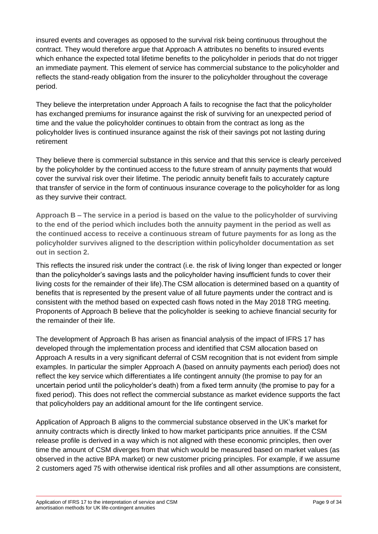insured events and coverages as opposed to the survival risk being continuous throughout the contract. They would therefore argue that Approach A attributes no benefits to insured events which enhance the expected total lifetime benefits to the policyholder in periods that do not trigger an immediate payment. This element of service has commercial substance to the policyholder and reflects the stand-ready obligation from the insurer to the policyholder throughout the coverage period.

They believe the interpretation under Approach A fails to recognise the fact that the policyholder has exchanged premiums for insurance against the risk of surviving for an unexpected period of time and the value the policyholder continues to obtain from the contract as long as the policyholder lives is continued insurance against the risk of their savings pot not lasting during retirement

They believe there is commercial substance in this service and that this service is clearly perceived by the policyholder by the continued access to the future stream of annuity payments that would cover the survival risk over their lifetime. The periodic annuity benefit fails to accurately capture that transfer of service in the form of continuous insurance coverage to the policyholder for as long as they survive their contract.

**Approach B – The service in a period is based on the value to the policyholder of surviving to the end of the period which includes both the annuity payment in the period as well as the continued access to receive a continuous stream of future payments for as long as the policyholder survives aligned to the description within policyholder documentation as set out in section 2.** 

This reflects the insured risk under the contract (i.e. the risk of living longer than expected or longer than the policyholder's savings lasts and the policyholder having insufficient funds to cover their living costs for the remainder of their life).The CSM allocation is determined based on a quantity of benefits that is represented by the present value of all future payments under the contract and is consistent with the method based on expected cash flows noted in the May 2018 TRG meeting. Proponents of Approach B believe that the policyholder is seeking to achieve financial security for the remainder of their life.

The development of Approach B has arisen as financial analysis of the impact of IFRS 17 has developed through the implementation process and identified that CSM allocation based on Approach A results in a very significant deferral of CSM recognition that is not evident from simple examples. In particular the simpler Approach A (based on annuity payments each period) does not reflect the key service which differentiates a life contingent annuity (the promise to pay for an uncertain period until the policyholder's death) from a fixed term annuity (the promise to pay for a fixed period). This does not reflect the commercial substance as market evidence supports the fact that policyholders pay an additional amount for the life contingent service.

Application of Approach B aligns to the commercial substance observed in the UK's market for annuity contracts which is directly linked to how market participants price annuities. If the CSM release profile is derived in a way which is not aligned with these economic principles, then over time the amount of CSM diverges from that which would be measured based on market values (as observed in the active BPA market) or new customer pricing principles. For example, if we assume 2 customers aged 75 with otherwise identical risk profiles and all other assumptions are consistent,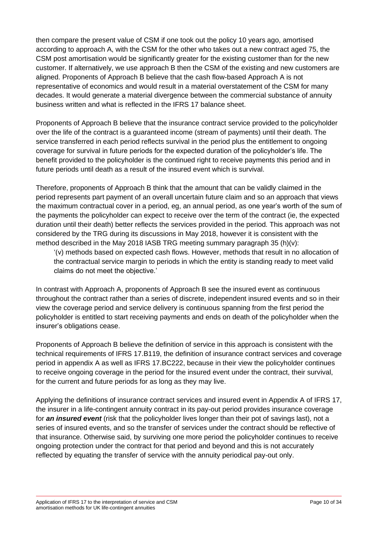then compare the present value of CSM if one took out the policy 10 years ago, amortised according to approach A, with the CSM for the other who takes out a new contract aged 75, the CSM post amortisation would be significantly greater for the existing customer than for the new customer. If alternatively, we use approach B then the CSM of the existing and new customers are aligned. Proponents of Approach B believe that the cash flow-based Approach A is not representative of economics and would result in a material overstatement of the CSM for many decades. It would generate a material divergence between the commercial substance of annuity business written and what is reflected in the IFRS 17 balance sheet.

Proponents of Approach B believe that the insurance contract service provided to the policyholder over the life of the contract is a guaranteed income (stream of payments) until their death. The service transferred in each period reflects survival in the period plus the entitlement to ongoing coverage for survival in future periods for the expected duration of the policyholder's life. The benefit provided to the policyholder is the continued right to receive payments this period and in future periods until death as a result of the insured event which is survival.

Therefore, proponents of Approach B think that the amount that can be validly claimed in the period represents part payment of an overall uncertain future claim and so an approach that views the maximum contractual cover in a period, eg, an annual period, as one year's worth of the sum of the payments the policyholder can expect to receive over the term of the contract (ie, the expected duration until their death) better reflects the services provided in the period. This approach was not considered by the TRG during its discussions in May 2018, however it is consistent with the method described in the May 2018 IASB TRG meeting summary paragraph 35 (h)(v):

'(v) methods based on expected cash flows. However, methods that result in no allocation of the contractual service margin to periods in which the entity is standing ready to meet valid claims do not meet the objective.'

In contrast with Approach A, proponents of Approach B see the insured event as continuous throughout the contract rather than a series of discrete, independent insured events and so in their view the coverage period and service delivery is continuous spanning from the first period the policyholder is entitled to start receiving payments and ends on death of the policyholder when the insurer's obligations cease.

Proponents of Approach B believe the definition of service in this approach is consistent with the technical requirements of IFRS 17.B119, the definition of insurance contract services and coverage period in appendix A as well as IFRS 17.BC222, because in their view the policyholder continues to receive ongoing coverage in the period for the insured event under the contract, their survival, for the current and future periods for as long as they may live.

Applying the definitions of insurance contract services and insured event in Appendix A of IFRS 17, the insurer in a life-contingent annuity contract in its pay-out period provides insurance coverage for *an insured event* (risk that the policyholder lives longer than their pot of savings last), not a series of insured events, and so the transfer of services under the contract should be reflective of that insurance. Otherwise said, by surviving one more period the policyholder continues to receive ongoing protection under the contract for that period and beyond and this is not accurately reflected by equating the transfer of service with the annuity periodical pay-out only.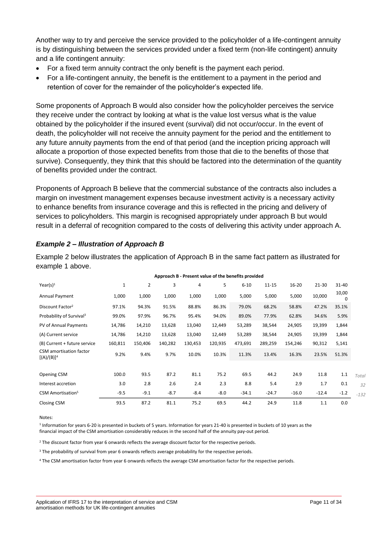Another way to try and perceive the service provided to the policyholder of a life-contingent annuity is by distinguishing between the services provided under a fixed term (non-life contingent) annuity and a life contingent annuity:

- For a fixed term annuity contract the only benefit is the payment each period.
- For a life-contingent annuity, the benefit is the entitlement to a payment in the period and retention of cover for the remainder of the policyholder's expected life.

Some proponents of Approach B would also consider how the policyholder perceives the service they receive under the contract by looking at what is the value lost versus what is the value obtained by the policyholder if the insured event (survival) did not occur/occur. In the event of death, the policyholder will not receive the annuity payment for the period and the entitlement to any future annuity payments from the end of that period (and the inception pricing approach will allocate a proportion of those expected benefits from those that die to the benefits of those that survive). Consequently, they think that this should be factored into the determination of the quantity of benefits provided under the contract.

Proponents of Approach B believe that the commercial substance of the contracts also includes a margin on investment management expenses because investment activity is a necessary activity to enhance benefits from insurance coverage and this is reflected in the pricing and delivery of services to policyholders. This margin is recognised appropriately under approach B but would result in a deferral of recognition compared to the costs of delivering this activity under approach A.

# *Example 2 – Illustration of Approach B*

Example 2 below illustrates the application of Approach B in the same fact pattern as illustrated for example 1 above.

|                                          |              |                |         | Approach B - Present value of the benefits provided |         |          |           |           |           |            |        |
|------------------------------------------|--------------|----------------|---------|-----------------------------------------------------|---------|----------|-----------|-----------|-----------|------------|--------|
| Year(s) <sup>1</sup>                     | $\mathbf{1}$ | $\overline{2}$ | 3       | 4                                                   | 5       | $6 - 10$ | $11 - 15$ | $16 - 20$ | $21 - 30$ | $31 - 40$  |        |
| Annual Payment                           | 1,000        | 1,000          | 1,000   | 1,000                                               | 1,000   | 5,000    | 5,000     | 5,000     | 10,000    | 10,00<br>0 |        |
| Discount Factor <sup>2</sup>             | 97.1%        | 94.3%          | 91.5%   | 88.8%                                               | 86.3%   | 79.0%    | 68.2%     | 58.8%     | 47.2%     | 35.1%      |        |
| Probability of Survival <sup>3</sup>     | 99.0%        | 97.9%          | 96.7%   | 95.4%                                               | 94.0%   | 89.0%    | 77.9%     | 62.8%     | 34.6%     | 5.9%       |        |
| PV of Annual Payments                    | 14,786       | 14,210         | 13,628  | 13,040                                              | 12,449  | 53,289   | 38,544    | 24,905    | 19,399    | 1,844      |        |
| (A) Current service                      | 14,786       | 14,210         | 13,628  | 13,040                                              | 12,449  | 53,289   | 38,544    | 24,905    | 19,399    | 1,844      |        |
| (B) Current + future service             | 160,811      | 150,406        | 140,282 | 130,453                                             | 120,935 | 473,691  | 289,259   | 154,246   | 90,312    | 5,141      |        |
| CSM amortisation factor<br>$[(A)/(B)]^4$ | 9.2%         | 9.4%           | 9.7%    | 10.0%                                               | 10.3%   | 11.3%    | 13.4%     | 16.3%     | 23.5%     | 51.3%      |        |
|                                          |              |                |         |                                                     |         |          |           |           |           |            |        |
| Opening CSM                              | 100.0        | 93.5           | 87.2    | 81.1                                                | 75.2    | 69.5     | 44.2      | 24.9      | 11.8      | 1.1        | Total  |
| Interest accretion                       | 3.0          | 2.8            | 2.6     | 2.4                                                 | 2.3     | 8.8      | 5.4       | 2.9       | 1.7       | 0.1        |        |
| CSM Amortisation <sup>5</sup>            | $-9.5$       | $-9.1$         | $-8.7$  | $-8.4$                                              | $-8.0$  | $-34.1$  | $-24.7$   | $-16.0$   | $-12.4$   | $-1.2$     | $-132$ |
| Closing CSM                              | 93.5         | 87.2           | 81.1    | 75.2                                                | 69.5    | 44.2     | 24.9      | 11.8      | 1.1       | 0.0        |        |

#### Notes:

<sup>1</sup> Information for years 6-20 is presented in buckets of 5 years. Information for years 21-40 is presented in buckets of 10 years as the financial impact of the CSM amortisation considerably reduces in the second half of the annuity pay-out period.

<sup>2</sup> The discount factor from year 6 onwards reflects the average discount factor for the respective periods.

<sup>3</sup> The probability of survival from year 6 onwards reflects average probability for the respective periods.

<sup>4</sup> The CSM amortisation factor from year 6 onwards reflects the average CSM amortisation factor for the respective periods.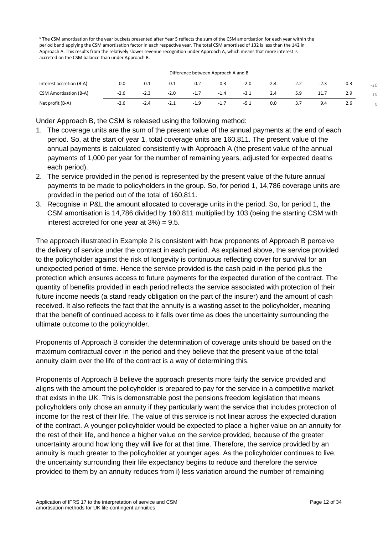<sup>5</sup> The CSM amortisation for the year buckets presented after Year 5 reflects the sum of the CSM amortisation for each year within the period band applying the CSM amortisation factor in each respective year. The total CSM amortised of 132 is less than the 142 in Approach A. This results from the relatively slower revenue recognition under Approach A, which means that more interest is accreted on the CSM balance than under Approach B.

| Difference between Approach A and B |        |        |        |        |        |        |        |        |        |        |       |
|-------------------------------------|--------|--------|--------|--------|--------|--------|--------|--------|--------|--------|-------|
| Interest accretion (B-A)            | 0.0    | $-0.1$ | $-0.1$ | $-0.2$ | $-0.3$ | $-2.0$ | $-2.4$ | $-2.2$ | $-2.3$ | $-0.3$ | $-10$ |
| <b>CSM Amortisation (B-A)</b>       | $-2.6$ | $-2.3$ | $-2.0$ | $-1.7$ | $-1.4$ | $-3.1$ | 2.4    | 5.9    | 11.7   | 2.9    | 10    |
| Net profit (B-A)                    | $-2.6$ | $-2.4$ | $-2.1$ | $-1.9$ | $-1.7$ | $-5.1$ | 0.0    | 3.7    | 9.4    | 2.6    |       |

Under Approach B, the CSM is released using the following method:

- 1. The coverage units are the sum of the present value of the annual payments at the end of each period. So, at the start of year 1, total coverage units are 160,811. The present value of the annual payments is calculated consistently with Approach A (the present value of the annual payments of 1,000 per year for the number of remaining years, adjusted for expected deaths each period).
- 2. The service provided in the period is represented by the present value of the future annual payments to be made to policyholders in the group. So, for period 1, 14,786 coverage units are provided in the period out of the total of 160,811.
- 3. Recognise in P&L the amount allocated to coverage units in the period. So, for period 1, the CSM amortisation is 14,786 divided by 160,811 multiplied by 103 (being the starting CSM with interest accreted for one year at  $3\%) = 9.5$ .

The approach illustrated in Example 2 is consistent with how proponents of Approach B perceive the delivery of service under the contract in each period. As explained above, the service provided to the policyholder against the risk of longevity is continuous reflecting cover for survival for an unexpected period of time. Hence the service provided is the cash paid in the period plus the protection which ensures access to future payments for the expected duration of the contract. The quantity of benefits provided in each period reflects the service associated with protection of their future income needs (a stand ready obligation on the part of the insurer) and the amount of cash received. It also reflects the fact that the annuity is a wasting asset to the policyholder, meaning that the benefit of continued access to it falls over time as does the uncertainty surrounding the ultimate outcome to the policyholder.

Proponents of Approach B consider the determination of coverage units should be based on the maximum contractual cover in the period and they believe that the present value of the total annuity claim over the life of the contract is a way of determining this.

Proponents of Approach B believe the approach presents more fairly the service provided and aligns with the amount the policyholder is prepared to pay for the service in a competitive market that exists in the UK. This is demonstrable post the pensions freedom legislation that means policyholders only chose an annuity if they particularly want the service that includes protection of income for the rest of their life. The value of this service is not linear across the expected duration of the contract. A younger policyholder would be expected to place a higher value on an annuity for the rest of their life, and hence a higher value on the service provided, because of the greater uncertainty around how long they will live for at that time. Therefore, the service provided by an annuity is much greater to the policyholder at younger ages. As the policyholder continues to live, the uncertainty surrounding their life expectancy begins to reduce and therefore the service provided to them by an annuity reduces from i) less variation around the number of remaining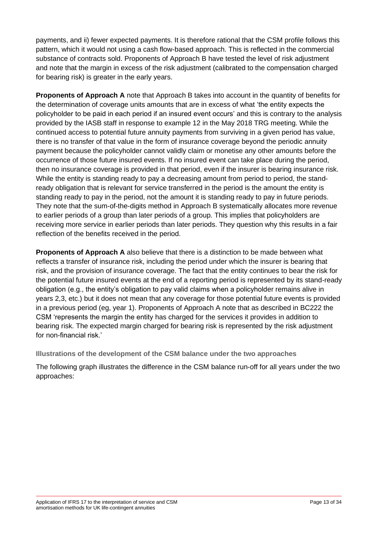payments, and ii) fewer expected payments. It is therefore rational that the CSM profile follows this pattern, which it would not using a cash flow-based approach. This is reflected in the commercial substance of contracts sold. Proponents of Approach B have tested the level of risk adjustment and note that the margin in excess of the risk adjustment (calibrated to the compensation charged for bearing risk) is greater in the early years.

**Proponents of Approach A** note that Approach B takes into account in the quantity of benefits for the determination of coverage units amounts that are in excess of what 'the entity expects the policyholder to be paid in each period if an insured event occurs' and this is contrary to the analysis provided by the IASB staff in response to example 12 in the May 2018 TRG meeting. While the continued access to potential future annuity payments from surviving in a given period has value, there is no transfer of that value in the form of insurance coverage beyond the periodic annuity payment because the policyholder cannot validly claim or monetise any other amounts before the occurrence of those future insured events. If no insured event can take place during the period, then no insurance coverage is provided in that period, even if the insurer is bearing insurance risk. While the entity is standing ready to pay a decreasing amount from period to period, the standready obligation that is relevant for service transferred in the period is the amount the entity is standing ready to pay in the period, not the amount it is standing ready to pay in future periods. They note that the sum-of-the-digits method in Approach B systematically allocates more revenue to earlier periods of a group than later periods of a group. This implies that policyholders are receiving more service in earlier periods than later periods. They question why this results in a fair reflection of the benefits received in the period.

**Proponents of Approach A** also believe that there is a distinction to be made between what reflects a transfer of insurance risk, including the period under which the insurer is bearing that risk, and the provision of insurance coverage. The fact that the entity continues to bear the risk for the potential future insured events at the end of a reporting period is represented by its stand-ready obligation (e.g., the entity's obligation to pay valid claims when a policyholder remains alive in years 2,3, etc.) but it does not mean that any coverage for those potential future events is provided in a previous period (eg, year 1). Proponents of Approach A note that as described in BC222 the CSM 'represents the margin the entity has charged for the services it provides in addition to bearing risk. The expected margin charged for bearing risk is represented by the risk adjustment for non-financial risk.'

**Illustrations of the development of the CSM balance under the two approaches**

The following graph illustrates the difference in the CSM balance run-off for all years under the two approaches: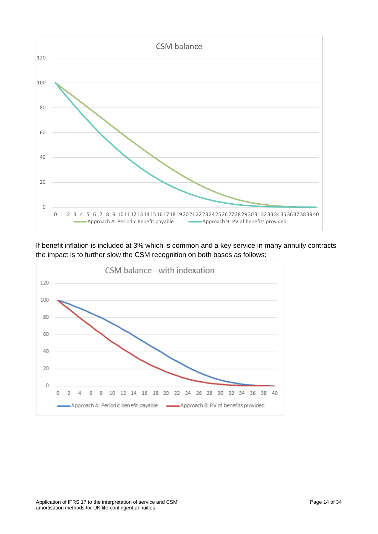

If benefit inflation is included at 3% which is common and a key service in many annuity contracts the impact is to further slow the CSM recognition on both bases as follows:

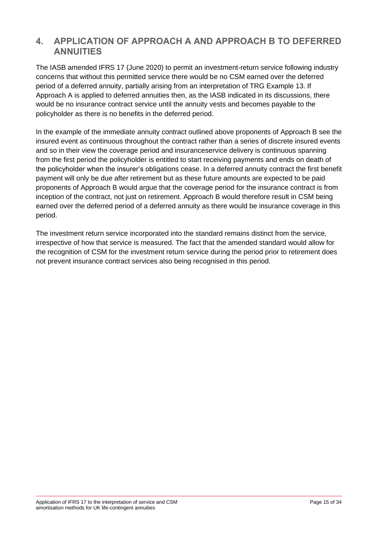# **4. APPLICATION OF APPROACH A AND APPROACH B TO DEFERRED ANNUITIES**

The IASB amended IFRS 17 (June 2020) to permit an investment-return service following industry concerns that without this permitted service there would be no CSM earned over the deferred period of a deferred annuity, partially arising from an interpretation of TRG Example 13. If Approach A is applied to deferred annuities then, as the IASB indicated in its discussions, there would be no insurance contract service until the annuity vests and becomes payable to the policyholder as there is no benefits in the deferred period.

In the example of the immediate annuity contract outlined above proponents of Approach B see the insured event as continuous throughout the contract rather than a series of discrete insured events and so in their view the coverage period and insuranceservice delivery is continuous spanning from the first period the policyholder is entitled to start receiving payments and ends on death of the policyholder when the insurer's obligations cease. In a deferred annuity contract the first benefit payment will only be due after retirement but as these future amounts are expected to be paid proponents of Approach B would argue that the coverage period for the insurance contract is from inception of the contract, not just on retirement. Approach B would therefore result in CSM being earned over the deferred period of a deferred annuity as there would be insurance coverage in this period.

The investment return service incorporated into the standard remains distinct from the service, irrespective of how that service is measured. The fact that the amended standard would allow for the recognition of CSM for the investment return service during the period prior to retirement does not prevent insurance contract services also being recognised in this period.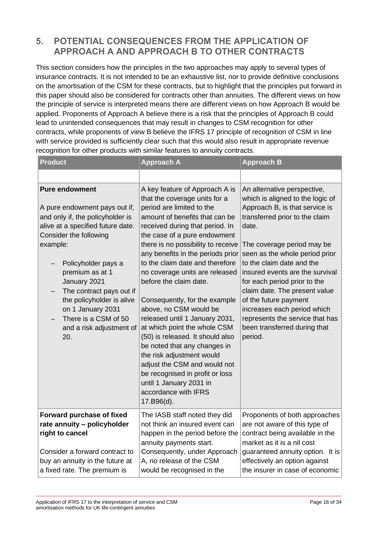# **5. POTENTIAL CONSEQUENCES FROM THE APPLICATION OF APPROACH A AND APPROACH B TO OTHER CONTRACTS**

This section considers how the principles in the two approaches may apply to several types of insurance contracts. It is not intended to be an exhaustive list, nor to provide definitive conclusions on the amortisation of the CSM for these contracts, but to highlight that the principles put forward in this paper should also be considered for contracts other than annuities. The different views on how the principle of service is interpreted means there are different views on how Approach B would be applied. Proponents of Approach A believe there is a risk that the principles of Approach B could lead to unintended consequences that may result in changes to CSM recognition for other contracts, while proponents of view B believe the IFRS 17 principle of recognition of CSM in line with service provided is sufficiently clear such that this would also result in appropriate revenue recognition for other products with similar features to annuity contracts.

| <b>Product</b>                                                                                                                                                                                                                                                                                                                                                           | <b>Approach A</b>                                                                                                                                                                                                                                                                                                                                                                                                                                                                                                                                                                                                                                                                                                                             | <b>Approach B</b>                                                                                                                                                                                                                                                                                                                                                                                                                                                                   |  |  |
|--------------------------------------------------------------------------------------------------------------------------------------------------------------------------------------------------------------------------------------------------------------------------------------------------------------------------------------------------------------------------|-----------------------------------------------------------------------------------------------------------------------------------------------------------------------------------------------------------------------------------------------------------------------------------------------------------------------------------------------------------------------------------------------------------------------------------------------------------------------------------------------------------------------------------------------------------------------------------------------------------------------------------------------------------------------------------------------------------------------------------------------|-------------------------------------------------------------------------------------------------------------------------------------------------------------------------------------------------------------------------------------------------------------------------------------------------------------------------------------------------------------------------------------------------------------------------------------------------------------------------------------|--|--|
|                                                                                                                                                                                                                                                                                                                                                                          |                                                                                                                                                                                                                                                                                                                                                                                                                                                                                                                                                                                                                                                                                                                                               |                                                                                                                                                                                                                                                                                                                                                                                                                                                                                     |  |  |
| <b>Pure endowment</b><br>A pure endowment pays out if,<br>and only if, the policyholder is<br>alive at a specified future date.<br>Consider the following<br>example:<br>Policyholder pays a<br>premium as at 1<br>January 2021<br>The contract pays out if<br>the policyholder is alive<br>on 1 January 2031<br>There is a CSM of 50<br>and a risk adjustment of<br>20. | A key feature of Approach A is<br>that the coverage units for a<br>period are limited to the<br>amount of benefits that can be<br>received during that period. In<br>the case of a pure endowment<br>there is no possibility to receive<br>any benefits in the periods prior<br>to the claim date and therefore<br>no coverage units are released<br>before the claim date.<br>Consequently, for the example<br>above, no CSM would be<br>released until 1 January 2031,<br>at which point the whole CSM<br>(50) is released. It should also<br>be noted that any changes in<br>the risk adjustment would<br>adjust the CSM and would not<br>be recognised in profit or loss<br>until 1 January 2031 in<br>accordance with IFRS<br>17.B96(d). | An alternative perspective,<br>which is aligned to the logic of<br>Approach B, is that service is<br>transferred prior to the claim<br>date.<br>The coverage period may be<br>seen as the whole period prior<br>to the claim date and the<br>insured events are the survival<br>for each period prior to the<br>claim date. The present value<br>of the future payment<br>increases each period which<br>represents the service that has<br>been transferred during that<br>period. |  |  |
| Forward purchase of fixed<br>rate annuity - policyholder<br>right to cancel<br>Consider a forward contract to<br>buy an annuity in the future at<br>a fixed rate. The premium is                                                                                                                                                                                         | The IASB staff noted they did<br>not think an insured event can<br>happen in the period before the<br>annuity payments start.<br>Consequently, under Approach<br>A, no release of the CSM<br>would be recognised in the                                                                                                                                                                                                                                                                                                                                                                                                                                                                                                                       | Proponents of both approaches<br>are not aware of this type of<br>contract being available in the<br>market as it is a nil cost<br>guaranteed annuity option. It is<br>effectively an option against<br>the insurer in case of economic                                                                                                                                                                                                                                             |  |  |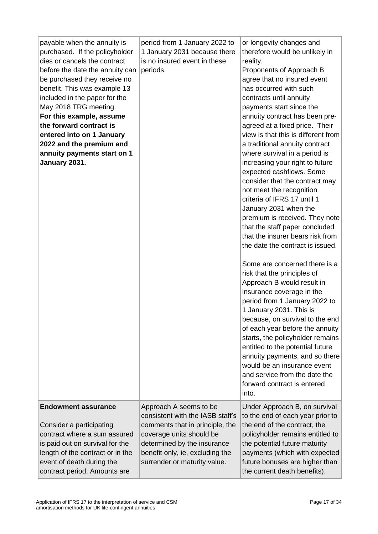| payable when the annuity is<br>purchased. If the policyholder<br>dies or cancels the contract<br>before the date the annuity can<br>be purchased they receive no<br>benefit. This was example 13<br>included in the paper for the<br>May 2018 TRG meeting.<br>For this example, assume<br>the forward contract is<br>entered into on 1 January<br>2022 and the premium and<br>annuity payments start on 1<br>January 2031. | period from 1 January 2022 to<br>1 January 2031 because there<br>is no insured event in these<br>periods.                                                                                                                   | or longevity changes and<br>therefore would be unlikely in<br>reality.<br>Proponents of Approach B<br>agree that no insured event<br>has occurred with such<br>contracts until annuity<br>payments start since the<br>annuity contract has been pre-<br>agreed at a fixed price. Their<br>view is that this is different from<br>a traditional annuity contract<br>where survival in a period is<br>increasing your right to future<br>expected cashflows. Some<br>consider that the contract may<br>not meet the recognition<br>criteria of IFRS 17 until 1<br>January 2031 when the<br>premium is received. They note<br>that the staff paper concluded<br>that the insurer bears risk from<br>the date the contract is issued.<br>Some are concerned there is a<br>risk that the principles of<br>Approach B would result in<br>insurance coverage in the<br>period from 1 January 2022 to<br>1 January 2031. This is<br>because, on survival to the end<br>of each year before the annuity<br>starts, the policyholder remains<br>entitled to the potential future<br>annuity payments, and so there<br>would be an insurance event<br>and service from the date the |
|----------------------------------------------------------------------------------------------------------------------------------------------------------------------------------------------------------------------------------------------------------------------------------------------------------------------------------------------------------------------------------------------------------------------------|-----------------------------------------------------------------------------------------------------------------------------------------------------------------------------------------------------------------------------|--------------------------------------------------------------------------------------------------------------------------------------------------------------------------------------------------------------------------------------------------------------------------------------------------------------------------------------------------------------------------------------------------------------------------------------------------------------------------------------------------------------------------------------------------------------------------------------------------------------------------------------------------------------------------------------------------------------------------------------------------------------------------------------------------------------------------------------------------------------------------------------------------------------------------------------------------------------------------------------------------------------------------------------------------------------------------------------------------------------------------------------------------------------------------|
|                                                                                                                                                                                                                                                                                                                                                                                                                            |                                                                                                                                                                                                                             | forward contract is entered<br>into.                                                                                                                                                                                                                                                                                                                                                                                                                                                                                                                                                                                                                                                                                                                                                                                                                                                                                                                                                                                                                                                                                                                                     |
| <b>Endowment assurance</b><br>Consider a participating<br>contract where a sum assured<br>is paid out on survival for the<br>length of the contract or in the<br>event of death during the<br>contract period. Amounts are                                                                                                                                                                                                 | Approach A seems to be<br>consistent with the IASB staff's<br>comments that in principle, the<br>coverage units should be<br>determined by the insurance<br>benefit only, ie, excluding the<br>surrender or maturity value. | Under Approach B, on survival<br>to the end of each year prior to<br>the end of the contract, the<br>policyholder remains entitled to<br>the potential future maturity<br>payments (which with expected<br>future bonuses are higher than<br>the current death benefits).                                                                                                                                                                                                                                                                                                                                                                                                                                                                                                                                                                                                                                                                                                                                                                                                                                                                                                |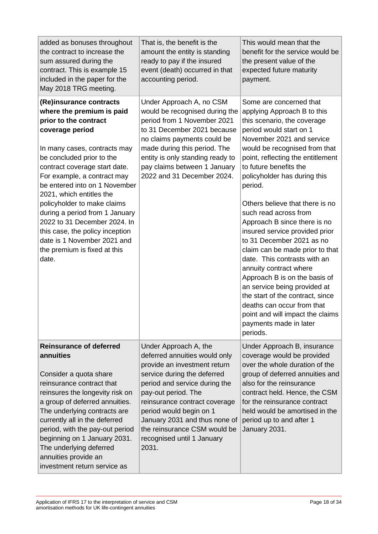| added as bonuses throughout<br>the contract to increase the<br>sum assured during the<br>contract. This is example 15<br>included in the paper for the<br>May 2018 TRG meeting.                                                                                                                                                                                                                                                                                                                        | That is, the benefit is the<br>amount the entity is standing<br>ready to pay if the insured<br>event (death) occurred in that<br>accounting period.                                                                                                                                                                                               | This would mean that the<br>benefit for the service would be<br>the present value of the<br>expected future maturity<br>payment.                                                                                                                                                                                                                                                                                                                                                                                                                                                                                                                                                                                                                              |
|--------------------------------------------------------------------------------------------------------------------------------------------------------------------------------------------------------------------------------------------------------------------------------------------------------------------------------------------------------------------------------------------------------------------------------------------------------------------------------------------------------|---------------------------------------------------------------------------------------------------------------------------------------------------------------------------------------------------------------------------------------------------------------------------------------------------------------------------------------------------|---------------------------------------------------------------------------------------------------------------------------------------------------------------------------------------------------------------------------------------------------------------------------------------------------------------------------------------------------------------------------------------------------------------------------------------------------------------------------------------------------------------------------------------------------------------------------------------------------------------------------------------------------------------------------------------------------------------------------------------------------------------|
| (Re)insurance contracts<br>where the premium is paid<br>prior to the contract<br>coverage period<br>In many cases, contracts may<br>be concluded prior to the<br>contract coverage start date.<br>For example, a contract may<br>be entered into on 1 November<br>2021, which entitles the<br>policyholder to make claims<br>during a period from 1 January<br>2022 to 31 December 2024. In<br>this case, the policy inception<br>date is 1 November 2021 and<br>the premium is fixed at this<br>date. | Under Approach A, no CSM<br>would be recognised during the<br>period from 1 November 2021<br>to 31 December 2021 because<br>no claims payments could be<br>made during this period. The<br>entity is only standing ready to<br>pay claims between 1 January<br>2022 and 31 December 2024.                                                         | Some are concerned that<br>applying Approach B to this<br>this scenario, the coverage<br>period would start on 1<br>November 2021 and service<br>would be recognised from that<br>point, reflecting the entitlement<br>to future benefits the<br>policyholder has during this<br>period.<br>Others believe that there is no<br>such read across from<br>Approach B since there is no<br>insured service provided prior<br>to 31 December 2021 as no<br>claim can be made prior to that<br>date. This contrasts with an<br>annuity contract where<br>Approach B is on the basis of<br>an service being provided at<br>the start of the contract, since<br>deaths can occur from that<br>point and will impact the claims<br>payments made in later<br>periods. |
| <b>Reinsurance of deferred</b><br>annuities<br>Consider a quota share<br>reinsurance contract that<br>reinsures the longevity risk on<br>a group of deferred annuities.<br>The underlying contracts are<br>currently all in the deferred<br>period, with the pay-out period<br>beginning on 1 January 2031.<br>The underlying deferred<br>annuities provide an<br>investment return service as                                                                                                         | Under Approach A, the<br>deferred annuities would only<br>provide an investment return<br>service during the deferred<br>period and service during the<br>pay-out period. The<br>reinsurance contract coverage<br>period would begin on 1<br>January 2031 and thus none of<br>the reinsurance CSM would be<br>recognised until 1 January<br>2031. | Under Approach B, insurance<br>coverage would be provided<br>over the whole duration of the<br>group of deferred annuities and<br>also for the reinsurance<br>contract held. Hence, the CSM<br>for the reinsurance contract<br>held would be amortised in the<br>period up to and after 1<br>January 2031.                                                                                                                                                                                                                                                                                                                                                                                                                                                    |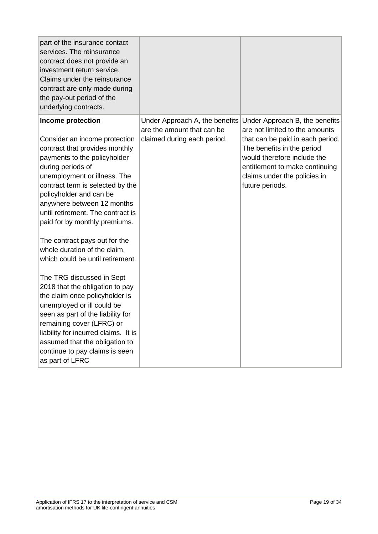| part of the insurance contact<br>services. The reinsurance<br>contract does not provide an<br>investment return service.<br>Claims under the reinsurance<br>contract are only made during<br>the pay-out period of the<br>underlying contracts.                                                                                                                                                                                                                                                                                                                                                                                                                                                                                                                                    |                                                                                             |                                                                                                                                                                                                                                                        |
|------------------------------------------------------------------------------------------------------------------------------------------------------------------------------------------------------------------------------------------------------------------------------------------------------------------------------------------------------------------------------------------------------------------------------------------------------------------------------------------------------------------------------------------------------------------------------------------------------------------------------------------------------------------------------------------------------------------------------------------------------------------------------------|---------------------------------------------------------------------------------------------|--------------------------------------------------------------------------------------------------------------------------------------------------------------------------------------------------------------------------------------------------------|
| Income protection<br>Consider an income protection<br>contract that provides monthly<br>payments to the policyholder<br>during periods of<br>unemployment or illness. The<br>contract term is selected by the<br>policyholder and can be<br>anywhere between 12 months<br>until retirement. The contract is<br>paid for by monthly premiums.<br>The contract pays out for the<br>whole duration of the claim,<br>which could be until retirement.<br>The TRG discussed in Sept<br>2018 that the obligation to pay<br>the claim once policyholder is<br>unemployed or ill could be<br>seen as part of the liability for<br>remaining cover (LFRC) or<br>liability for incurred claims. It is<br>assumed that the obligation to<br>continue to pay claims is seen<br>as part of LFRC | Under Approach A, the benefits<br>are the amount that can be<br>claimed during each period. | Under Approach B, the benefits<br>are not limited to the amounts<br>that can be paid in each period.<br>The benefits in the period<br>would therefore include the<br>entitlement to make continuing<br>claims under the policies in<br>future periods. |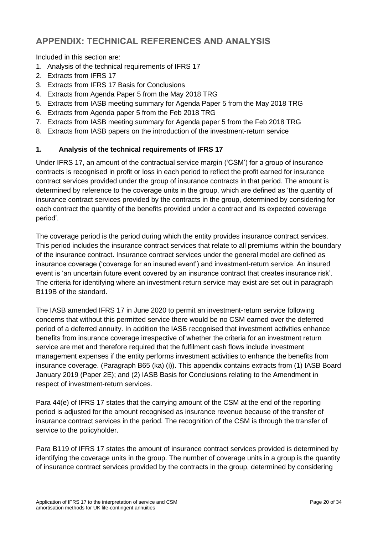# **APPENDIX: TECHNICAL REFERENCES AND ANALYSIS**

Included in this section are:

- 1. Analysis of the technical requirements of IFRS 17
- 2. Extracts from IFRS 17
- 3. Extracts from IFRS 17 Basis for Conclusions
- 4. Extracts from Agenda Paper 5 from the May 2018 TRG
- 5. Extracts from IASB meeting summary for Agenda Paper 5 from the May 2018 TRG
- 6. Extracts from Agenda paper 5 from the Feb 2018 TRG
- 7. Extracts from IASB meeting summary for Agenda paper 5 from the Feb 2018 TRG
- 8. Extracts from IASB papers on the introduction of the investment-return service

# **1. Analysis of the technical requirements of IFRS 17**

Under IFRS 17, an amount of the contractual service margin ('CSM') for a group of insurance contracts is recognised in profit or loss in each period to reflect the profit earned for insurance contract services provided under the group of insurance contracts in that period. The amount is determined by reference to the coverage units in the group, which are defined as 'the quantity of insurance contract services provided by the contracts in the group, determined by considering for each contract the quantity of the benefits provided under a contract and its expected coverage period'.

The coverage period is the period during which the entity provides insurance contract services. This period includes the insurance contract services that relate to all premiums within the boundary of the insurance contract. Insurance contract services under the general model are defined as insurance coverage ('coverage for an insured event') and investment-return service. An insured event is 'an uncertain future event covered by an insurance contract that creates insurance risk'. The criteria for identifying where an investment-return service may exist are set out in paragraph B119B of the standard.

The IASB amended IFRS 17 in June 2020 to permit an investment-return service following concerns that without this permitted service there would be no CSM earned over the deferred period of a deferred annuity. In addition the IASB recognised that investment activities enhance benefits from insurance coverage irrespective of whether the criteria for an investment return service are met and therefore required that the fulfilment cash flows include investment management expenses if the entity performs investment activities to enhance the benefits from insurance coverage. (Paragraph B65 (ka) (i)). This appendix contains extracts from (1) IASB Board January 2019 (Paper 2E); and (2) IASB Basis for Conclusions relating to the Amendment in respect of investment-return services.

Para 44(e) of IFRS 17 states that the carrying amount of the CSM at the end of the reporting period is adjusted for the amount recognised as insurance revenue because of the transfer of insurance contract services in the period. The recognition of the CSM is through the transfer of service to the policyholder.

Para B119 of IFRS 17 states the amount of insurance contract services provided is determined by identifying the coverage units in the group. The number of coverage units in a group is the quantity of insurance contract services provided by the contracts in the group, determined by considering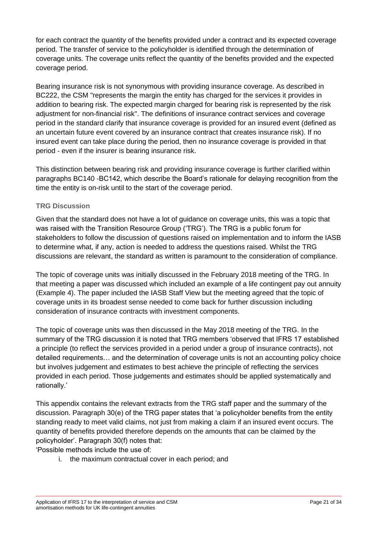for each contract the quantity of the benefits provided under a contract and its expected coverage period. The transfer of service to the policyholder is identified through the determination of coverage units. The coverage units reflect the quantity of the benefits provided and the expected coverage period.

Bearing insurance risk is not synonymous with providing insurance coverage. As described in BC222, the CSM "represents the margin the entity has charged for the services it provides in addition to bearing risk. The expected margin charged for bearing risk is represented by the risk adjustment for non-financial risk". The definitions of insurance contract services and coverage period in the standard clarify that insurance coverage is provided for an insured event (defined as an uncertain future event covered by an insurance contract that creates insurance risk). If no insured event can take place during the period, then no insurance coverage is provided in that period - even if the insurer is bearing insurance risk.

This distinction between bearing risk and providing insurance coverage is further clarified within paragraphs BC140 -BC142, which describe the Board's rationale for delaying recognition from the time the entity is on-risk until to the start of the coverage period.

### **TRG Discussion**

Given that the standard does not have a lot of guidance on coverage units, this was a topic that was raised with the Transition Resource Group ('TRG'). The TRG is a public forum for stakeholders to follow the discussion of questions raised on implementation and to inform the IASB to determine what, if any, action is needed to address the questions raised. Whilst the TRG discussions are relevant, the standard as written is paramount to the consideration of compliance.

The topic of coverage units was initially discussed in the February 2018 meeting of the TRG. In that meeting a paper was discussed which included an example of a life contingent pay out annuity (Example 4). The paper included the IASB Staff View but the meeting agreed that the topic of coverage units in its broadest sense needed to come back for further discussion including consideration of insurance contracts with investment components.

The topic of coverage units was then discussed in the May 2018 meeting of the TRG. In the summary of the TRG discussion it is noted that TRG members 'observed that IFRS 17 established a principle (to reflect the services provided in a period under a group of insurance contracts), not detailed requirements… and the determination of coverage units is not an accounting policy choice but involves judgement and estimates to best achieve the principle of reflecting the services provided in each period. Those judgements and estimates should be applied systematically and rationally.'

This appendix contains the relevant extracts from the TRG staff paper and the summary of the discussion. Paragraph 30(e) of the TRG paper states that 'a policyholder benefits from the entity standing ready to meet valid claims, not just from making a claim if an insured event occurs. The quantity of benefits provided therefore depends on the amounts that can be claimed by the policyholder'. Paragraph 30(f) notes that:

'Possible methods include the use of:

i. the maximum contractual cover in each period; and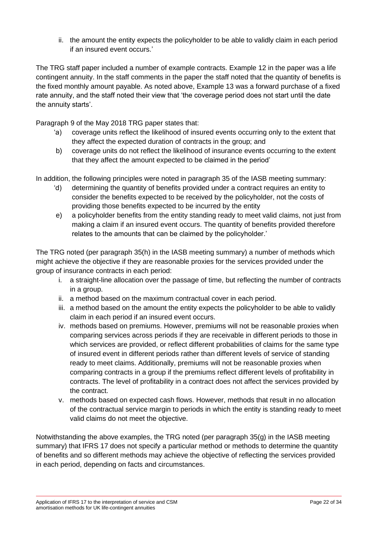ii. the amount the entity expects the policyholder to be able to validly claim in each period if an insured event occurs.'

The TRG staff paper included a number of example contracts. Example 12 in the paper was a life contingent annuity. In the staff comments in the paper the staff noted that the quantity of benefits is the fixed monthly amount payable. As noted above, Example 13 was a forward purchase of a fixed rate annuity, and the staff noted their view that 'the coverage period does not start until the date the annuity starts'.

Paragraph 9 of the May 2018 TRG paper states that:

- 'a) coverage units reflect the likelihood of insured events occurring only to the extent that they affect the expected duration of contracts in the group; and
- b) coverage units do not reflect the likelihood of insurance events occurring to the extent that they affect the amount expected to be claimed in the period'

In addition, the following principles were noted in paragraph 35 of the IASB meeting summary:

- 'd) determining the quantity of benefits provided under a contract requires an entity to consider the benefits expected to be received by the policyholder, not the costs of providing those benefits expected to be incurred by the entity
- e) a policyholder benefits from the entity standing ready to meet valid claims, not just from making a claim if an insured event occurs. The quantity of benefits provided therefore relates to the amounts that can be claimed by the policyholder.'

The TRG noted (per paragraph 35(h) in the IASB meeting summary) a number of methods which might achieve the objective if they are reasonable proxies for the services provided under the group of insurance contracts in each period:

- i. a straight-line allocation over the passage of time, but reflecting the number of contracts in a group.
- ii. a method based on the maximum contractual cover in each period.
- iii. a method based on the amount the entity expects the policyholder to be able to validly claim in each period if an insured event occurs.
- iv. methods based on premiums. However, premiums will not be reasonable proxies when comparing services across periods if they are receivable in different periods to those in which services are provided, or reflect different probabilities of claims for the same type of insured event in different periods rather than different levels of service of standing ready to meet claims. Additionally, premiums will not be reasonable proxies when comparing contracts in a group if the premiums reflect different levels of profitability in contracts. The level of profitability in a contract does not affect the services provided by the contract.
- v. methods based on expected cash flows. However, methods that result in no allocation of the contractual service margin to periods in which the entity is standing ready to meet valid claims do not meet the objective.

Notwithstanding the above examples, the TRG noted (per paragraph 35(g) in the IASB meeting summary) that IFRS 17 does not specify a particular method or methods to determine the quantity of benefits and so different methods may achieve the objective of reflecting the services provided in each period, depending on facts and circumstances.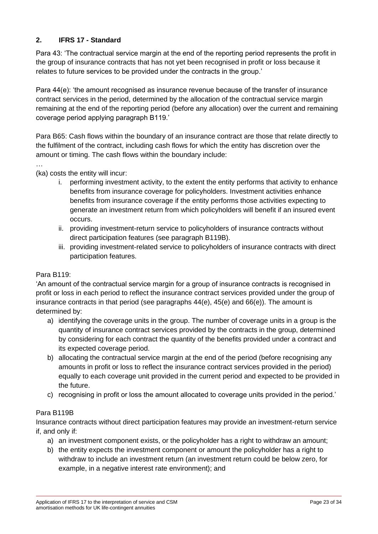# **2. IFRS 17 - Standard**

Para 43: 'The contractual service margin at the end of the reporting period represents the profit in the group of insurance contracts that has not yet been recognised in profit or loss because it relates to future services to be provided under the contracts in the group.'

Para 44(e): 'the amount recognised as insurance revenue because of the transfer of insurance contract services in the period, determined by the allocation of the contractual service margin remaining at the end of the reporting period (before any allocation) over the current and remaining coverage period applying paragraph B119.'

Para B65: Cash flows within the boundary of an insurance contract are those that relate directly to the fulfilment of the contract, including cash flows for which the entity has discretion over the amount or timing. The cash flows within the boundary include:

(ka) costs the entity will incur:

- i. performing investment activity, to the extent the entity performs that activity to enhance benefits from insurance coverage for policyholders. Investment activities enhance benefits from insurance coverage if the entity performs those activities expecting to generate an investment return from which policyholders will benefit if an insured event occurs.
- ii. providing investment-return service to policyholders of insurance contracts without direct participation features (see paragraph B119B).
- iii. providing investment-related service to policyholders of insurance contracts with direct participation features.

### Para B119:

…

'An amount of the contractual service margin for a group of insurance contracts is recognised in profit or loss in each period to reflect the insurance contract services provided under the group of insurance contracts in that period (see paragraphs  $44(e)$ ,  $45(e)$  and  $66(e)$ ). The amount is determined by:

- a) identifying the coverage units in the group. The number of coverage units in a group is the quantity of insurance contract services provided by the contracts in the group, determined by considering for each contract the quantity of the benefits provided under a contract and its expected coverage period.
- b) allocating the contractual service margin at the end of the period (before recognising any amounts in profit or loss to reflect the insurance contract services provided in the period) equally to each coverage unit provided in the current period and expected to be provided in the future.
- c) recognising in profit or loss the amount allocated to coverage units provided in the period.'

### Para B119B

Insurance contracts without direct participation features may provide an investment-return service if, and only if:

- a) an investment component exists, or the policyholder has a right to withdraw an amount;
- b) the entity expects the investment component or amount the policyholder has a right to withdraw to include an investment return (an investment return could be below zero, for example, in a negative interest rate environment); and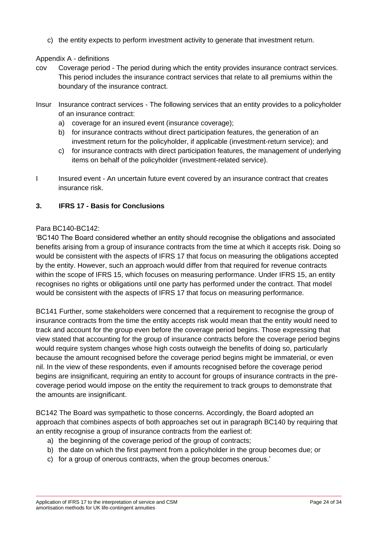c) the entity expects to perform investment activity to generate that investment return.

#### Appendix A - definitions

- cov Coverage period The period during which the entity provides insurance contract services. This period includes the insurance contract services that relate to all premiums within the boundary of the insurance contract.
- Insur Insurance contract services The following services that an entity provides to a policyholder of an insurance contract:
	- a) coverage for an insured event (insurance coverage);
	- b) for insurance contracts without direct participation features, the generation of an investment return for the policyholder, if applicable (investment-return service); and
	- c) for insurance contracts with direct participation features, the management of underlying items on behalf of the policyholder (investment-related service).
- I Insured event An uncertain future event covered by an insurance contract that creates insurance risk.

#### **3. IFRS 17 - Basis for Conclusions**

#### Para BC140-BC142:

'BC140 The Board considered whether an entity should recognise the obligations and associated benefits arising from a group of insurance contracts from the time at which it accepts risk. Doing so would be consistent with the aspects of IFRS 17 that focus on measuring the obligations accepted by the entity. However, such an approach would differ from that required for revenue contracts within the scope of IFRS 15, which focuses on measuring performance. Under IFRS 15, an entity recognises no rights or obligations until one party has performed under the contract. That model would be consistent with the aspects of IFRS 17 that focus on measuring performance.

BC141 Further, some stakeholders were concerned that a requirement to recognise the group of insurance contracts from the time the entity accepts risk would mean that the entity would need to track and account for the group even before the coverage period begins. Those expressing that view stated that accounting for the group of insurance contracts before the coverage period begins would require system changes whose high costs outweigh the benefits of doing so, particularly because the amount recognised before the coverage period begins might be immaterial, or even nil. In the view of these respondents, even if amounts recognised before the coverage period begins are insignificant, requiring an entity to account for groups of insurance contracts in the precoverage period would impose on the entity the requirement to track groups to demonstrate that the amounts are insignificant.

BC142 The Board was sympathetic to those concerns. Accordingly, the Board adopted an approach that combines aspects of both approaches set out in paragraph BC140 by requiring that an entity recognise a group of insurance contracts from the earliest of:

- a) the beginning of the coverage period of the group of contracts;
- b) the date on which the first payment from a policyholder in the group becomes due; or
- c) for a group of onerous contracts, when the group becomes onerous.'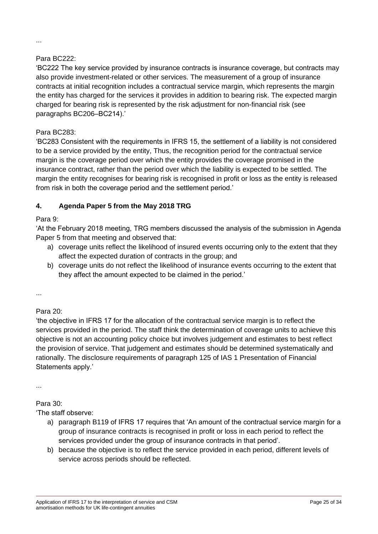# Para BC222:

'BC222 The key service provided by insurance contracts is insurance coverage, but contracts may also provide investment-related or other services. The measurement of a group of insurance contracts at initial recognition includes a contractual service margin, which represents the margin the entity has charged for the services it provides in addition to bearing risk. The expected margin charged for bearing risk is represented by the risk adjustment for non-financial risk (see paragraphs BC206–BC214).'

# Para BC283:

'BC283 Consistent with the requirements in IFRS 15, the settlement of a liability is not considered to be a service provided by the entity, Thus, the recognition period for the contractual service margin is the coverage period over which the entity provides the coverage promised in the insurance contract, rather than the period over which the liability is expected to be settled. The margin the entity recognises for bearing risk is recognised in profit or loss as the entity is released from risk in both the coverage period and the settlement period.'

# **4. Agenda Paper 5 from the May 2018 TRG**

### Para 9:

'At the February 2018 meeting, TRG members discussed the analysis of the submission in Agenda Paper 5 from that meeting and observed that:

- a) coverage units reflect the likelihood of insured events occurring only to the extent that they affect the expected duration of contracts in the group; and
- b) coverage units do not reflect the likelihood of insurance events occurring to the extent that they affect the amount expected to be claimed in the period.'

...

# Para 20:

'the objective in IFRS 17 for the allocation of the contractual service margin is to reflect the services provided in the period. The staff think the determination of coverage units to achieve this objective is not an accounting policy choice but involves judgement and estimates to best reflect the provision of service. That judgement and estimates should be determined systematically and rationally. The disclosure requirements of paragraph 125 of IAS 1 Presentation of Financial Statements apply.'

...

# Para 30:

'The staff observe:

- a) paragraph B119 of IFRS 17 requires that 'An amount of the contractual service margin for a group of insurance contracts is recognised in profit or loss in each period to reflect the services provided under the group of insurance contracts in that period'.
- b) because the objective is to reflect the service provided in each period, different levels of service across periods should be reflected.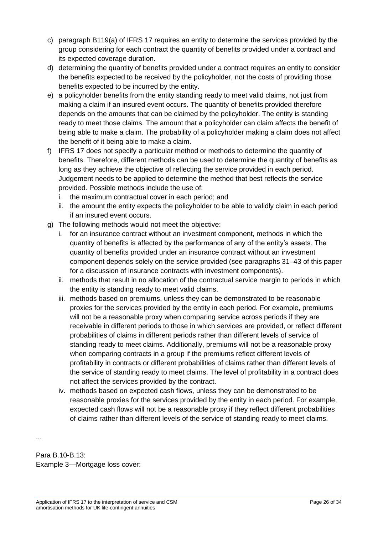- c) paragraph B119(a) of IFRS 17 requires an entity to determine the services provided by the group considering for each contract the quantity of benefits provided under a contract and its expected coverage duration.
- d) determining the quantity of benefits provided under a contract requires an entity to consider the benefits expected to be received by the policyholder, not the costs of providing those benefits expected to be incurred by the entity.
- e) a policyholder benefits from the entity standing ready to meet valid claims, not just from making a claim if an insured event occurs. The quantity of benefits provided therefore depends on the amounts that can be claimed by the policyholder. The entity is standing ready to meet those claims. The amount that a policyholder can claim affects the benefit of being able to make a claim. The probability of a policyholder making a claim does not affect the benefit of it being able to make a claim.
- f) IFRS 17 does not specify a particular method or methods to determine the quantity of benefits. Therefore, different methods can be used to determine the quantity of benefits as long as they achieve the objective of reflecting the service provided in each period. Judgement needs to be applied to determine the method that best reflects the service provided. Possible methods include the use of:
	- i. the maximum contractual cover in each period; and
	- ii. the amount the entity expects the policyholder to be able to validly claim in each period if an insured event occurs.
- g) The following methods would not meet the objective:
	- i. for an insurance contract without an investment component, methods in which the quantity of benefits is affected by the performance of any of the entity's assets. The quantity of benefits provided under an insurance contract without an investment component depends solely on the service provided (see paragraphs 31–43 of this paper for a discussion of insurance contracts with investment components).
	- ii. methods that result in no allocation of the contractual service margin to periods in which the entity is standing ready to meet valid claims.
	- iii. methods based on premiums, unless they can be demonstrated to be reasonable proxies for the services provided by the entity in each period. For example, premiums will not be a reasonable proxy when comparing service across periods if they are receivable in different periods to those in which services are provided, or reflect different probabilities of claims in different periods rather than different levels of service of standing ready to meet claims. Additionally, premiums will not be a reasonable proxy when comparing contracts in a group if the premiums reflect different levels of profitability in contracts or different probabilities of claims rather than different levels of the service of standing ready to meet claims. The level of profitability in a contract does not affect the services provided by the contract.
	- iv. methods based on expected cash flows, unless they can be demonstrated to be reasonable proxies for the services provided by the entity in each period. For example, expected cash flows will not be a reasonable proxy if they reflect different probabilities of claims rather than different levels of the service of standing ready to meet claims.

...

Para B.10-B.13: Example 3—Mortgage loss cover: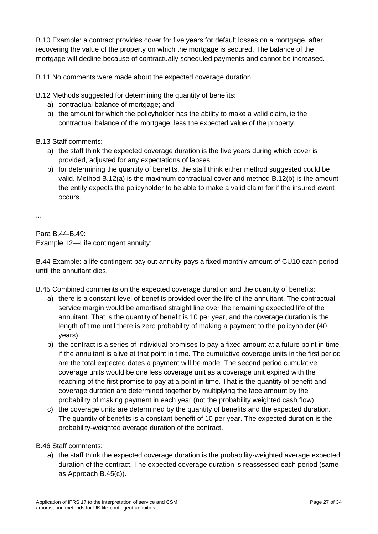B.10 Example: a contract provides cover for five years for default losses on a mortgage, after recovering the value of the property on which the mortgage is secured. The balance of the mortgage will decline because of contractually scheduled payments and cannot be increased.

B.11 No comments were made about the expected coverage duration.

B.12 Methods suggested for determining the quantity of benefits:

- a) contractual balance of mortgage; and
- b) the amount for which the policyholder has the ability to make a valid claim, ie the contractual balance of the mortgage, less the expected value of the property.

# B.13 Staff comments:

- a) the staff think the expected coverage duration is the five years during which cover is provided, adjusted for any expectations of lapses.
- b) for determining the quantity of benefits, the staff think either method suggested could be valid. Method B.12(a) is the maximum contractual cover and method B.12(b) is the amount the entity expects the policyholder to be able to make a valid claim for if the insured event occurs.

...

Para B.44-B.49: Example 12—Life contingent annuity:

B.44 Example: a life contingent pay out annuity pays a fixed monthly amount of CU10 each period until the annuitant dies.

B.45 Combined comments on the expected coverage duration and the quantity of benefits:

- a) there is a constant level of benefits provided over the life of the annuitant. The contractual service margin would be amortised straight line over the remaining expected life of the annuitant. That is the quantity of benefit is 10 per year, and the coverage duration is the length of time until there is zero probability of making a payment to the policyholder (40 years).
- b) the contract is a series of individual promises to pay a fixed amount at a future point in time if the annuitant is alive at that point in time. The cumulative coverage units in the first period are the total expected dates a payment will be made. The second period cumulative coverage units would be one less coverage unit as a coverage unit expired with the reaching of the first promise to pay at a point in time. That is the quantity of benefit and coverage duration are determined together by multiplying the face amount by the probability of making payment in each year (not the probability weighted cash flow).
- c) the coverage units are determined by the quantity of benefits and the expected duration. The quantity of benefits is a constant benefit of 10 per year. The expected duration is the probability-weighted average duration of the contract.

B.46 Staff comments:

a) the staff think the expected coverage duration is the probability-weighted average expected duration of the contract. The expected coverage duration is reassessed each period (same as Approach B.45(c)).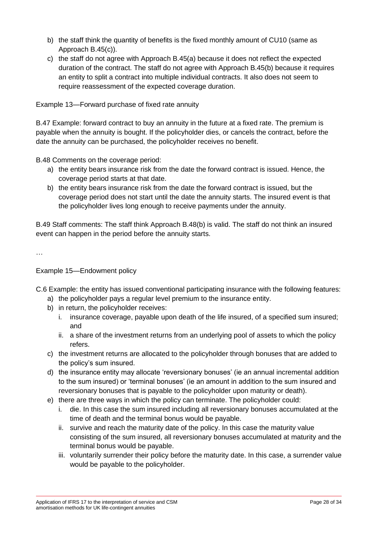- b) the staff think the quantity of benefits is the fixed monthly amount of CU10 (same as Approach B.45(c)).
- c) the staff do not agree with Approach B.45(a) because it does not reflect the expected duration of the contract. The staff do not agree with Approach B.45(b) because it requires an entity to split a contract into multiple individual contracts. It also does not seem to require reassessment of the expected coverage duration.

Example 13—Forward purchase of fixed rate annuity

B.47 Example: forward contract to buy an annuity in the future at a fixed rate. The premium is payable when the annuity is bought. If the policyholder dies, or cancels the contract, before the date the annuity can be purchased, the policyholder receives no benefit.

B.48 Comments on the coverage period:

- a) the entity bears insurance risk from the date the forward contract is issued. Hence, the coverage period starts at that date.
- b) the entity bears insurance risk from the date the forward contract is issued, but the coverage period does not start until the date the annuity starts. The insured event is that the policyholder lives long enough to receive payments under the annuity.

B.49 Staff comments: The staff think Approach B.48(b) is valid. The staff do not think an insured event can happen in the period before the annuity starts.

…

Example 15—Endowment policy

C.6 Example: the entity has issued conventional participating insurance with the following features:

- a) the policyholder pays a regular level premium to the insurance entity.
- b) in return, the policyholder receives:
	- i. insurance coverage, payable upon death of the life insured, of a specified sum insured; and
	- ii. a share of the investment returns from an underlying pool of assets to which the policy refers.
- c) the investment returns are allocated to the policyholder through bonuses that are added to the policy's sum insured.
- d) the insurance entity may allocate 'reversionary bonuses' (ie an annual incremental addition to the sum insured) or 'terminal bonuses' (ie an amount in addition to the sum insured and reversionary bonuses that is payable to the policyholder upon maturity or death).
- e) there are three ways in which the policy can terminate. The policyholder could:
	- i. die. In this case the sum insured including all reversionary bonuses accumulated at the time of death and the terminal bonus would be payable.
	- ii. survive and reach the maturity date of the policy. In this case the maturity value consisting of the sum insured, all reversionary bonuses accumulated at maturity and the terminal bonus would be payable.
	- iii. voluntarily surrender their policy before the maturity date. In this case, a surrender value would be payable to the policyholder.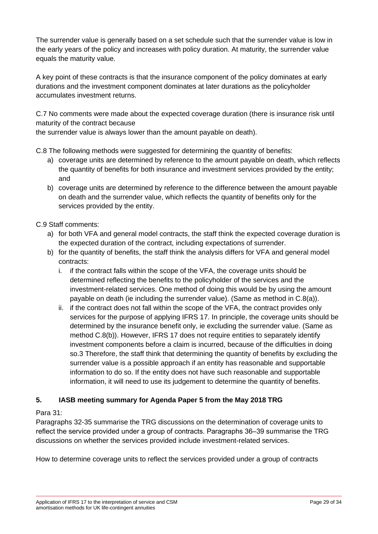The surrender value is generally based on a set schedule such that the surrender value is low in the early years of the policy and increases with policy duration. At maturity, the surrender value equals the maturity value.

A key point of these contracts is that the insurance component of the policy dominates at early durations and the investment component dominates at later durations as the policyholder accumulates investment returns.

C.7 No comments were made about the expected coverage duration (there is insurance risk until maturity of the contract because

the surrender value is always lower than the amount payable on death).

C.8 The following methods were suggested for determining the quantity of benefits:

- a) coverage units are determined by reference to the amount payable on death, which reflects the quantity of benefits for both insurance and investment services provided by the entity; and
- b) coverage units are determined by reference to the difference between the amount payable on death and the surrender value, which reflects the quantity of benefits only for the services provided by the entity.

# C.9 Staff comments:

- a) for both VFA and general model contracts, the staff think the expected coverage duration is the expected duration of the contract, including expectations of surrender.
- b) for the quantity of benefits, the staff think the analysis differs for VFA and general model contracts:
	- i. if the contract falls within the scope of the VFA, the coverage units should be determined reflecting the benefits to the policyholder of the services and the investment-related services. One method of doing this would be by using the amount payable on death (ie including the surrender value). (Same as method in C.8(a)).
	- ii. if the contract does not fall within the scope of the VFA, the contract provides only services for the purpose of applying IFRS 17. In principle, the coverage units should be determined by the insurance benefit only, ie excluding the surrender value. (Same as method C.8(b)). However, IFRS 17 does not require entities to separately identify investment components before a claim is incurred, because of the difficulties in doing so.3 Therefore, the staff think that determining the quantity of benefits by excluding the surrender value is a possible approach if an entity has reasonable and supportable information to do so. If the entity does not have such reasonable and supportable information, it will need to use its judgement to determine the quantity of benefits.

# **5. IASB meeting summary for Agenda Paper 5 from the May 2018 TRG**

### Para 31:

Paragraphs 32-35 summarise the TRG discussions on the determination of coverage units to reflect the service provided under a group of contracts. Paragraphs 36‒39 summarise the TRG discussions on whether the services provided include investment-related services.

How to determine coverage units to reflect the services provided under a group of contracts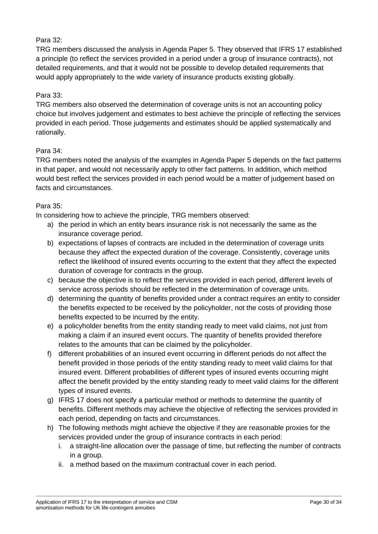## Para 32:

TRG members discussed the analysis in Agenda Paper 5. They observed that IFRS 17 established a principle (to reflect the services provided in a period under a group of insurance contracts), not detailed requirements, and that it would not be possible to develop detailed requirements that would apply appropriately to the wide variety of insurance products existing globally.

### Para 33:

TRG members also observed the determination of coverage units is not an accounting policy choice but involves judgement and estimates to best achieve the principle of reflecting the services provided in each period. Those judgements and estimates should be applied systematically and rationally.

### Para 34:

TRG members noted the analysis of the examples in Agenda Paper 5 depends on the fact patterns in that paper, and would not necessarily apply to other fact patterns. In addition, which method would best reflect the services provided in each period would be a matter of judgement based on facts and circumstances.

#### Para 35:

In considering how to achieve the principle, TRG members observed:

- a) the period in which an entity bears insurance risk is not necessarily the same as the insurance coverage period.
- b) expectations of lapses of contracts are included in the determination of coverage units because they affect the expected duration of the coverage. Consistently, coverage units reflect the likelihood of insured events occurring to the extent that they affect the expected duration of coverage for contracts in the group.
- c) because the objective is to reflect the services provided in each period, different levels of service across periods should be reflected in the determination of coverage units.
- d) determining the quantity of benefits provided under a contract requires an entity to consider the benefits expected to be received by the policyholder, not the costs of providing those benefits expected to be incurred by the entity.
- e) a policyholder benefits from the entity standing ready to meet valid claims, not just from making a claim if an insured event occurs. The quantity of benefits provided therefore relates to the amounts that can be claimed by the policyholder.
- f) different probabilities of an insured event occurring in different periods do not affect the benefit provided in those periods of the entity standing ready to meet valid claims for that insured event. Different probabilities of different types of insured events occurring might affect the benefit provided by the entity standing ready to meet valid claims for the different types of insured events.
- g) IFRS 17 does not specify a particular method or methods to determine the quantity of benefits. Different methods may achieve the objective of reflecting the services provided in each period, depending on facts and circumstances.
- h) The following methods might achieve the objective if they are reasonable proxies for the services provided under the group of insurance contracts in each period:
	- i. a straight-line allocation over the passage of time, but reflecting the number of contracts in a group.
	- ii. a method based on the maximum contractual cover in each period.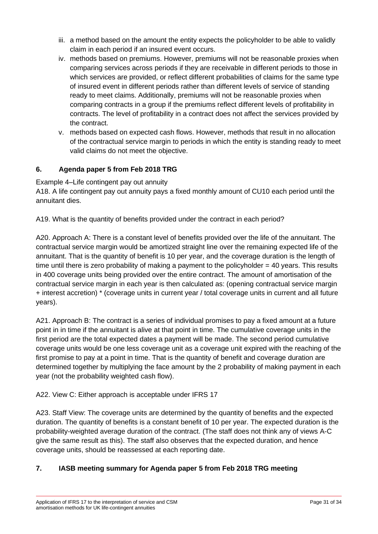- iii. a method based on the amount the entity expects the policyholder to be able to validly claim in each period if an insured event occurs.
- iv. methods based on premiums. However, premiums will not be reasonable proxies when comparing services across periods if they are receivable in different periods to those in which services are provided, or reflect different probabilities of claims for the same type of insured event in different periods rather than different levels of service of standing ready to meet claims. Additionally, premiums will not be reasonable proxies when comparing contracts in a group if the premiums reflect different levels of profitability in contracts. The level of profitability in a contract does not affect the services provided by the contract.
- v. methods based on expected cash flows. However, methods that result in no allocation of the contractual service margin to periods in which the entity is standing ready to meet valid claims do not meet the objective.

# **6. Agenda paper 5 from Feb 2018 TRG**

Example 4–Life contingent pay out annuity

A18. A life contingent pay out annuity pays a fixed monthly amount of CU10 each period until the annuitant dies.

A19. What is the quantity of benefits provided under the contract in each period?

A20. Approach A: There is a constant level of benefits provided over the life of the annuitant. The contractual service margin would be amortized straight line over the remaining expected life of the annuitant. That is the quantity of benefit is 10 per year, and the coverage duration is the length of time until there is zero probability of making a payment to the policyholder = 40 years. This results in 400 coverage units being provided over the entire contract. The amount of amortisation of the contractual service margin in each year is then calculated as: (opening contractual service margin + interest accretion) \* (coverage units in current year / total coverage units in current and all future years).

A21. Approach B: The contract is a series of individual promises to pay a fixed amount at a future point in in time if the annuitant is alive at that point in time. The cumulative coverage units in the first period are the total expected dates a payment will be made. The second period cumulative coverage units would be one less coverage unit as a coverage unit expired with the reaching of the first promise to pay at a point in time. That is the quantity of benefit and coverage duration are determined together by multiplying the face amount by the 2 probability of making payment in each year (not the probability weighted cash flow).

# A22. View C: Either approach is acceptable under IFRS 17

A23. Staff View: The coverage units are determined by the quantity of benefits and the expected duration. The quantity of benefits is a constant benefit of 10 per year. The expected duration is the probability-weighted average duration of the contract. (The staff does not think any of views A-C give the same result as this). The staff also observes that the expected duration, and hence coverage units, should be reassessed at each reporting date.

# **7. IASB meeting summary for Agenda paper 5 from Feb 2018 TRG meeting**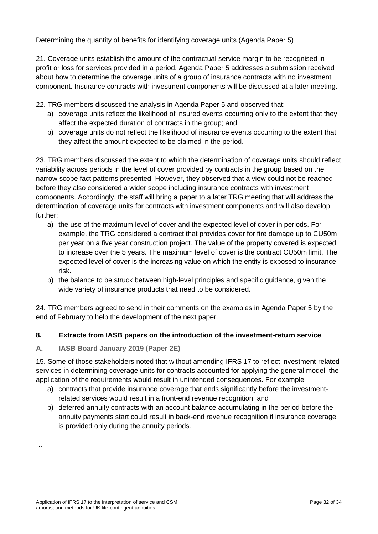Determining the quantity of benefits for identifying coverage units (Agenda Paper 5)

21. Coverage units establish the amount of the contractual service margin to be recognised in profit or loss for services provided in a period. Agenda Paper 5 addresses a submission received about how to determine the coverage units of a group of insurance contracts with no investment component. Insurance contracts with investment components will be discussed at a later meeting.

22. TRG members discussed the analysis in Agenda Paper 5 and observed that:

- a) coverage units reflect the likelihood of insured events occurring only to the extent that they affect the expected duration of contracts in the group; and
- b) coverage units do not reflect the likelihood of insurance events occurring to the extent that they affect the amount expected to be claimed in the period.

23. TRG members discussed the extent to which the determination of coverage units should reflect variability across periods in the level of cover provided by contracts in the group based on the narrow scope fact patterns presented. However, they observed that a view could not be reached before they also considered a wider scope including insurance contracts with investment components. Accordingly, the staff will bring a paper to a later TRG meeting that will address the determination of coverage units for contracts with investment components and will also develop further:

- a) the use of the maximum level of cover and the expected level of cover in periods. For example, the TRG considered a contract that provides cover for fire damage up to CU50m per year on a five year construction project. The value of the property covered is expected to increase over the 5 years. The maximum level of cover is the contract CU50m limit. The expected level of cover is the increasing value on which the entity is exposed to insurance risk.
- b) the balance to be struck between high-level principles and specific guidance, given the wide variety of insurance products that need to be considered.

24. TRG members agreed to send in their comments on the examples in Agenda Paper 5 by the end of February to help the development of the next paper.

### **8. Extracts from IASB papers on the introduction of the investment-return service**

### **A. IASB Board January 2019 (Paper 2E)**

15. Some of those stakeholders noted that without amending IFRS 17 to reflect investment-related services in determining coverage units for contracts accounted for applying the general model, the application of the requirements would result in unintended consequences. For example

- a) contracts that provide insurance coverage that ends significantly before the investmentrelated services would result in a front-end revenue recognition; and
- b) deferred annuity contracts with an account balance accumulating in the period before the annuity payments start could result in back-end revenue recognition if insurance coverage is provided only during the annuity periods.

…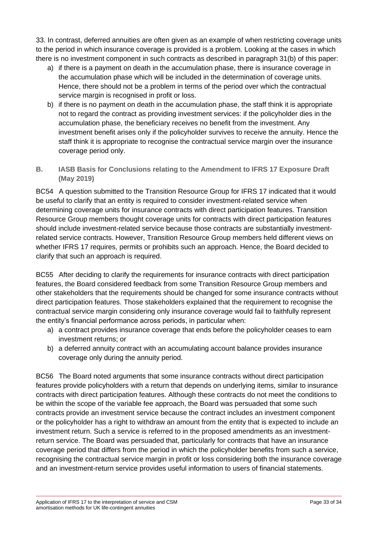33. In contrast, deferred annuities are often given as an example of when restricting coverage units to the period in which insurance coverage is provided is a problem. Looking at the cases in which there is no investment component in such contracts as described in paragraph 31(b) of this paper:

- a) if there is a payment on death in the accumulation phase, there is insurance coverage in the accumulation phase which will be included in the determination of coverage units. Hence, there should not be a problem in terms of the period over which the contractual service margin is recognised in profit or loss.
- b) if there is no payment on death in the accumulation phase, the staff think it is appropriate not to regard the contract as providing investment services: if the policyholder dies in the accumulation phase, the beneficiary receives no benefit from the investment. Any investment benefit arises only if the policyholder survives to receive the annuity. Hence the staff think it is appropriate to recognise the contractual service margin over the insurance coverage period only.
- **B. IASB Basis for Conclusions relating to the Amendment to IFRS 17 Exposure Draft (May 2019)**

BC54 A question submitted to the Transition Resource Group for IFRS 17 indicated that it would be useful to clarify that an entity is required to consider investment-related service when determining coverage units for insurance contracts with direct participation features. Transition Resource Group members thought coverage units for contracts with direct participation features should include investment-related service because those contracts are substantially investmentrelated service contracts. However, Transition Resource Group members held different views on whether IFRS 17 requires, permits or prohibits such an approach. Hence, the Board decided to clarify that such an approach is required.

BC55 After deciding to clarify the requirements for insurance contracts with direct participation features, the Board considered feedback from some Transition Resource Group members and other stakeholders that the requirements should be changed for some insurance contracts without direct participation features. Those stakeholders explained that the requirement to recognise the contractual service margin considering only insurance coverage would fail to faithfully represent the entity's financial performance across periods, in particular when:

- a) a contract provides insurance coverage that ends before the policyholder ceases to earn investment returns; or
- b) a deferred annuity contract with an accumulating account balance provides insurance coverage only during the annuity period.

BC56 The Board noted arguments that some insurance contracts without direct participation features provide policyholders with a return that depends on underlying items, similar to insurance contracts with direct participation features. Although these contracts do not meet the conditions to be within the scope of the variable fee approach, the Board was persuaded that some such contracts provide an investment service because the contract includes an investment component or the policyholder has a right to withdraw an amount from the entity that is expected to include an investment return. Such a service is referred to in the proposed amendments as an investmentreturn service. The Board was persuaded that, particularly for contracts that have an insurance coverage period that differs from the period in which the policyholder benefits from such a service, recognising the contractual service margin in profit or loss considering both the insurance coverage and an investment-return service provides useful information to users of financial statements.